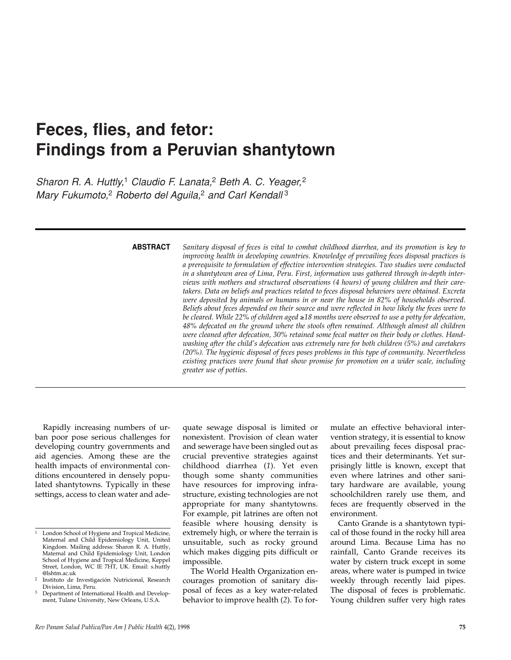# **Feces, flies, and fetor: Findings from a Peruvian shantytown**

*Sharon R. A. Huttly,*<sup>1</sup> *Claudio F. Lanata,*<sup>2</sup> *Beth A. C. Yeager,*<sup>2</sup> *Mary Fukumoto,*<sup>2</sup> *Roberto del Aguila,*<sup>2</sup> *and Carl Kendall* <sup>3</sup>

**ABSTRACT**

*Sanitary disposal of feces is vital to combat childhood diarrhea, and its promotion is key to improving health in developing countries. Knowledge of prevailing feces disposal practices is a prerequisite to formulation of effective intervention strategies. Two studies were conducted in a shantytown area of Lima, Peru. First, information was gathered through in-depth interviews with mothers and structured observations (4 hours) of young children and their caretakers. Data on beliefs and practices related to feces disposal behaviors were obtained. Excreta were deposited by animals or humans in or near the house in 82% of households observed. Beliefs about feces depended on their source and were reflected in how likely the feces were to be cleared. While 22% of children aged* ≥*18 months were observed to use a potty for defecation, 48% defecated on the ground where the stools often remained. Although almost all children were cleaned after defecation, 30% retained some fecal matter on their body or clothes. Handwashing after the child's defecation was extremely rare for both children (5%) and caretakers (20%). The hygienic disposal of feces poses problems in this type of community. Nevertheless existing practices were found that show promise for promotion on a wider scale, including greater use of potties.*

Rapidly increasing numbers of urban poor pose serious challenges for developing country governments and aid agencies. Among these are the health impacts of environmental conditions encountered in densely populated shantytowns. Typically in these settings, access to clean water and adequate sewage disposal is limited or nonexistent. Provision of clean water and sewerage have been singled out as crucial preventive strategies against childhood diarrhea (*1*). Yet even though some shanty communities have resources for improving infrastructure, existing technologies are not appropriate for many shantytowns. For example, pit latrines are often not feasible where housing density is extremely high, or where the terrain is unsuitable, such as rocky ground which makes digging pits difficult or impossible.

The World Health Organization encourages promotion of sanitary disposal of feces as a key water-related behavior to improve health (*2*). To formulate an effective behavioral intervention strategy, it is essential to know about prevailing feces disposal practices and their determinants. Yet surprisingly little is known, except that even where latrines and other sanitary hardware are available, young schoolchildren rarely use them, and feces are frequently observed in the environment.

Canto Grande is a shantytown typical of those found in the rocky hill area around Lima. Because Lima has no rainfall, Canto Grande receives its water by cistern truck except in some areas, where water is pumped in twice weekly through recently laid pipes. The disposal of feces is problematic. Young children suffer very high rates

<sup>&</sup>lt;sup>1</sup> London School of Hygiene and Tropical Medicine, Maternal and Child Epidemiology Unit, United Kingdom. Mailing address: Sharon R. A. Huttly, Maternal and Child Epidemiology Unit, London School of Hygiene and Tropical Medicine, Keppel Street, London, WC IE 7HT, UK. Email: s.huttly @lshtm.ac.uk

Instituto de Investigación Nutricional, Research Division, Lima, Peru.

Department of International Health and Development, Tulane University, New Orleans, U.S.A.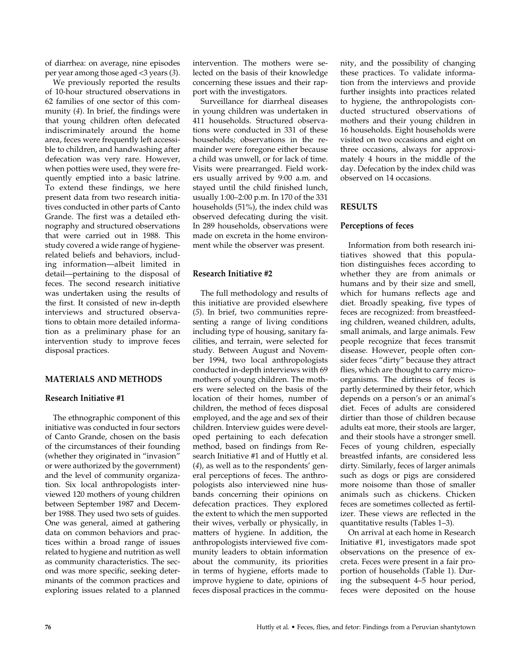of diarrhea: on average, nine episodes per year among those aged <3 years (*3*).

We previously reported the results of 10-hour structured observations in 62 families of one sector of this community (*4*). In brief, the findings were that young children often defecated indiscriminately around the home area, feces were frequently left accessible to children, and handwashing after defecation was very rare. However, when potties were used, they were frequently emptied into a basic latrine. To extend these findings, we here present data from two research initiatives conducted in other parts of Canto Grande. The first was a detailed ethnography and structured observations that were carried out in 1988. This study covered a wide range of hygienerelated beliefs and behaviors, including information—albeit limited in detail—pertaining to the disposal of feces. The second research initiative was undertaken using the results of the first. It consisted of new in-depth interviews and structured observations to obtain more detailed information as a preliminary phase for an intervention study to improve feces disposal practices.

# **MATERIALS AND METHODS**

### **Research Initiative #1**

The ethnographic component of this initiative was conducted in four sectors of Canto Grande, chosen on the basis of the circumstances of their founding (whether they originated in "invasion" or were authorized by the government) and the level of community organization. Six local anthropologists interviewed 120 mothers of young children between September 1987 and December 1988. They used two sets of guides. One was general, aimed at gathering data on common behaviors and practices within a broad range of issues related to hygiene and nutrition as well as community characteristics. The second was more specific, seeking determinants of the common practices and exploring issues related to a planned

intervention. The mothers were selected on the basis of their knowledge concerning these issues and their rapport with the investigators.

Surveillance for diarrheal diseases in young children was undertaken in 411 households. Structured observations were conducted in 331 of these households; observations in the remainder were foregone either because a child was unwell, or for lack of time. Visits were prearranged. Field workers usually arrived by 9:00 a.m. and stayed until the child finished lunch, usually 1:00–2:00 p.m. In 170 of the 331 households (51%), the index child was observed defecating during the visit. In 289 households, observations were made on excreta in the home environment while the observer was present.

# **Research Initiative #2**

The full methodology and results of this initiative are provided elsewhere (*5*). In brief, two communities representing a range of living conditions including type of housing, sanitary facilities, and terrain, were selected for study. Between August and November 1994, two local anthropologists conducted in-depth interviews with 69 mothers of young children. The mothers were selected on the basis of the location of their homes, number of children, the method of feces disposal employed, and the age and sex of their children. Interview guides were developed pertaining to each defecation method, based on findings from Research Initiative #1 and of Huttly et al. (*4*), as well as to the respondents' general perceptions of feces. The anthropologists also interviewed nine husbands concerning their opinions on defecation practices. They explored the extent to which the men supported their wives, verbally or physically, in matters of hygiene. In addition, the anthropologists interviewed five community leaders to obtain information about the community, its priorities in terms of hygiene, efforts made to improve hygiene to date, opinions of feces disposal practices in the community, and the possibility of changing these practices. To validate information from the interviews and provide further insights into practices related to hygiene, the anthropologists conducted structured observations of mothers and their young children in 16 households. Eight households were visited on two occasions and eight on three occasions, always for approximately 4 hours in the middle of the day. Defecation by the index child was observed on 14 occasions.

# **RESULTS**

#### **Perceptions of feces**

Information from both research initiatives showed that this population distinguishes feces according to whether they are from animals or humans and by their size and smell, which for humans reflects age and diet. Broadly speaking, five types of feces are recognized: from breastfeeding children, weaned children, adults, small animals, and large animals. Few people recognize that feces transmit disease. However, people often consider feces "dirty" because they attract flies, which are thought to carry microorganisms. The dirtiness of feces is partly determined by their fetor, which depends on a person's or an animal's diet. Feces of adults are considered dirtier than those of children because adults eat more, their stools are larger, and their stools have a stronger smell. Feces of young children, especially breastfed infants, are considered less dirty. Similarly, feces of larger animals such as dogs or pigs are considered more noisome than those of smaller animals such as chickens. Chicken feces are sometimes collected as fertilizer. These views are reflected in the quantitative results (Tables 1–3).

On arrival at each home in Research Initiative #1, investigators made spot observations on the presence of excreta. Feces were present in a fair proportion of households (Table 1). During the subsequent 4–5 hour period, feces were deposited on the house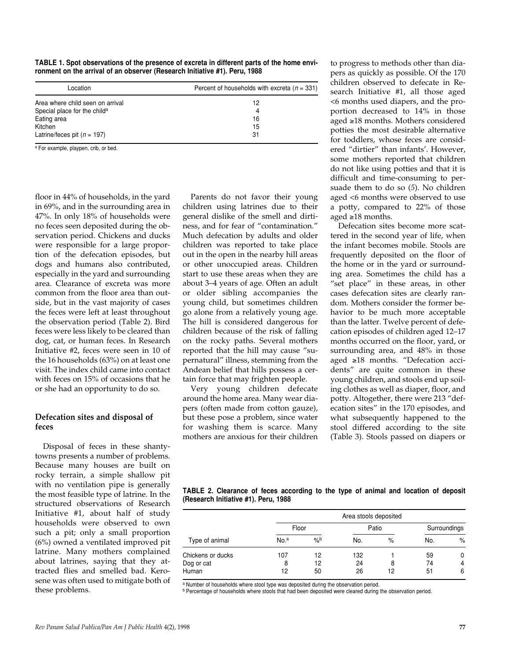**TABLE 1. Spot observations of the presence of excreta in different parts of the home environment on the arrival of an observer (Research Initiative #1). Peru, 1988**

| Location                                 | Percent of households with excreta ( $n = 331$ ) |
|------------------------------------------|--------------------------------------------------|
| Area where child seen on arrival         | 12                                               |
| Special place for the child <sup>a</sup> | 4                                                |
| Eating area                              | 16                                               |
| Kitchen                                  | 15                                               |
| Latrine/feces pit $(n = 197)$            | 31                                               |

<sup>a</sup> For example, playpen, crib, or bed.

floor in 44% of households, in the yard in 69%, and in the surrounding area in 47%. In only 18% of households were no feces seen deposited during the observation period. Chickens and ducks were responsible for a large proportion of the defecation episodes, but dogs and humans also contributed, especially in the yard and surrounding area. Clearance of excreta was more common from the floor area than outside, but in the vast majority of cases the feces were left at least throughout the observation period (Table 2). Bird feces were less likely to be cleared than dog, cat, or human feces. In Research Initiative #2, feces were seen in 10 of the 16 households (63%) on at least one visit. The index child came into contact with feces on 15% of occasions that he or she had an opportunity to do so.

# **Defecation sites and disposal of feces**

Disposal of feces in these shantytowns presents a number of problems. Because many houses are built on rocky terrain, a simple shallow pit with no ventilation pipe is generally the most feasible type of latrine. In the structured observations of Research Initiative #1, about half of study households were observed to own such a pit; only a small proportion (6%) owned a ventilated improved pit latrine. Many mothers complained about latrines, saying that they attracted flies and smelled bad. Kerosene was often used to mitigate both of these problems.

Parents do not favor their young children using latrines due to their general dislike of the smell and dirtiness, and for fear of "contamination." Much defecation by adults and older children was reported to take place out in the open in the nearby hill areas or other unoccupied areas. Children start to use these areas when they are about 3–4 years of age. Often an adult or older sibling accompanies the young child, but sometimes children go alone from a relatively young age. The hill is considered dangerous for children because of the risk of falling on the rocky paths. Several mothers reported that the hill may cause "supernatural" illness, stemming from the Andean belief that hills possess a certain force that may frighten people.

Very young children defecate around the home area. Many wear diapers (often made from cotton gauze), but these pose a problem, since water for washing them is scarce. Many mothers are anxious for their children

to progress to methods other than diapers as quickly as possible. Of the 170 children observed to defecate in Research Initiative #1, all those aged <6 months used diapers, and the proportion decreased to 14% in those aged ≥18 months. Mothers considered potties the most desirable alternative for toddlers, whose feces are considered "dirtier" than infants'. However, some mothers reported that children do not like using potties and that it is difficult and time-consuming to persuade them to do so (*5*). No children aged <6 months were observed to use a potty, compared to 22% of those aged ≥18 months.

Defecation sites become more scattered in the second year of life, when the infant becomes mobile. Stools are frequently deposited on the floor of the home or in the yard or surrounding area. Sometimes the child has a "set place" in these areas, in other cases defecation sites are clearly random. Mothers consider the former behavior to be much more acceptable than the latter. Twelve percent of defecation episodes of children aged 12–17 months occurred on the floor, yard, or surrounding area, and 48% in those aged ≥18 months. "Defecation accidents" are quite common in these young children, and stools end up soiling clothes as well as diaper, floor, and potty. Altogether, there were 213 "defecation sites" in the 170 episodes, and what subsequently happened to the stool differed according to the site (Table 3). Stools passed on diapers or

| TABLE 2. Clearance of feces according to the type of animal and location of deposit |  |  |  |  |  |  |
|-------------------------------------------------------------------------------------|--|--|--|--|--|--|
| (Research Initiative #1). Peru, 1988                                                |  |  |  |  |  |  |

|                   | Area stools deposited |               |       |      |              |      |  |  |  |
|-------------------|-----------------------|---------------|-------|------|--------------|------|--|--|--|
|                   | Floor                 |               | Patio |      | Surroundings |      |  |  |  |
| Type of animal    | No. <sup>a</sup>      | $\frac{9}{6}$ | No.   | $\%$ | No.          | $\%$ |  |  |  |
| Chickens or ducks | 107                   | 12            | 132   |      | 59           | 0    |  |  |  |
| Dog or cat        | 8                     | 12            | 24    | 8    | 74           | 4    |  |  |  |
| Human             | 12                    | 50            | 26    | 12   | 51           | 6    |  |  |  |

a Number of households where stool type was deposited during the observation period.

b Percentage of households where stools that had been deposited were cleared during the observation period.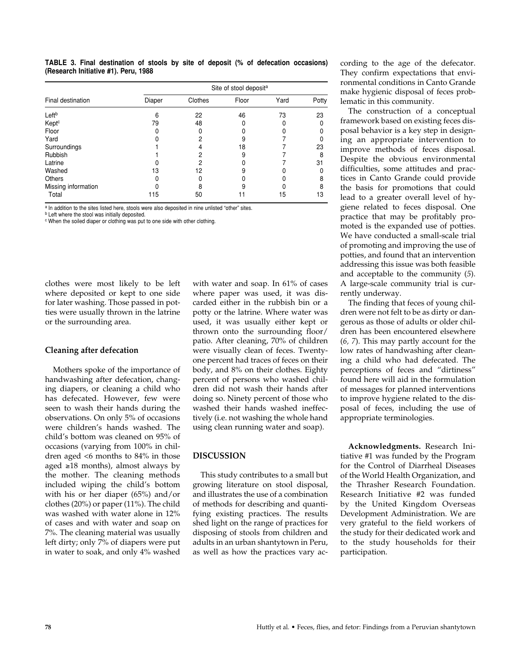**TABLE 3. Final destination of stools by site of deposit (% of defecation occasions) (Research Initiative #1). Peru, 1988**

| Final destination   | Site of stool deposit <sup>a</sup> |         |       |      |       |  |  |  |
|---------------------|------------------------------------|---------|-------|------|-------|--|--|--|
|                     | Diaper                             | Clothes | Floor | Yard | Potty |  |  |  |
| Left <sup>b</sup>   | 6                                  | 22      | 46    | 73   | 23    |  |  |  |
| Kept <sup>c</sup>   | 79                                 | 48      |       |      | O     |  |  |  |
| Floor               |                                    |         |       |      |       |  |  |  |
| Yard                |                                    |         | 9     |      |       |  |  |  |
| Surroundings        |                                    |         | 18    |      | 23    |  |  |  |
| Rubbish             |                                    |         | 9     |      | 8     |  |  |  |
| Latrine             |                                    |         |       |      | 31    |  |  |  |
| Washed              | 13                                 | 12      |       |      |       |  |  |  |
| <b>Others</b>       |                                    |         |       |      | 8     |  |  |  |
| Missing information |                                    |         |       |      | 8     |  |  |  |
| Total               | 115                                | 50      | 11    | 15   | 13    |  |  |  |

a In addition to the sites listed here, stools were also deposited in nine unlisted "other" sites.

**b** Left where the stool was initially deposited.

<sup>c</sup> When the soiled diaper or clothing was put to one side with other clothing.

clothes were most likely to be left where deposited or kept to one side for later washing. Those passed in potties were usually thrown in the latrine or the surrounding area.

#### **Cleaning after defecation**

Mothers spoke of the importance of handwashing after defecation, changing diapers, or cleaning a child who has defecated. However, few were seen to wash their hands during the observations. On only 5% of occasions were children's hands washed. The child's bottom was cleaned on 95% of occasions (varying from 100% in children aged <6 months to 84% in those aged ≥18 months), almost always by the mother. The cleaning methods included wiping the child's bottom with his or her diaper (65%) and/or clothes (20%) or paper (11%). The child was washed with water alone in 12% of cases and with water and soap on 7%. The cleaning material was usually left dirty; only 7% of diapers were put in water to soak, and only 4% washed

with water and soap. In 61% of cases where paper was used, it was discarded either in the rubbish bin or a potty or the latrine. Where water was used, it was usually either kept or thrown onto the surrounding floor/ patio. After cleaning, 70% of children were visually clean of feces. Twentyone percent had traces of feces on their body, and 8% on their clothes. Eighty percent of persons who washed children did not wash their hands after doing so. Ninety percent of those who washed their hands washed ineffectively (i.e. not washing the whole hand using clean running water and soap).

# **DISCUSSION**

This study contributes to a small but growing literature on stool disposal, and illustrates the use of a combination of methods for describing and quantifying existing practices. The results shed light on the range of practices for disposing of stools from children and adults in an urban shantytown in Peru, as well as how the practices vary according to the age of the defecator. They confirm expectations that environmental conditions in Canto Grande make hygienic disposal of feces problematic in this community.

The construction of a conceptual framework based on existing feces disposal behavior is a key step in designing an appropriate intervention to improve methods of feces disposal. Despite the obvious environmental difficulties, some attitudes and practices in Canto Grande could provide the basis for promotions that could lead to a greater overall level of hygiene related to feces disposal. One practice that may be profitably promoted is the expanded use of potties. We have conducted a small-scale trial of promoting and improving the use of potties, and found that an intervention addressing this issue was both feasible and acceptable to the community (*5*). A large-scale community trial is currently underway.

The finding that feces of young children were not felt to be as dirty or dangerous as those of adults or older children has been encountered elsewhere (*6, 7*). This may partly account for the low rates of handwashing after cleaning a child who had defecated. The perceptions of feces and "dirtiness" found here will aid in the formulation of messages for planned interventions to improve hygiene related to the disposal of feces, including the use of appropriate terminologies.

**Acknowledgments.** Research Initiative #1 was funded by the Program for the Control of Diarrheal Diseases of the World Health Organization, and the Thrasher Research Foundation. Research Initiative #2 was funded by the United Kingdom Overseas Development Administration. We are very grateful to the field workers of the study for their dedicated work and to the study households for their participation.